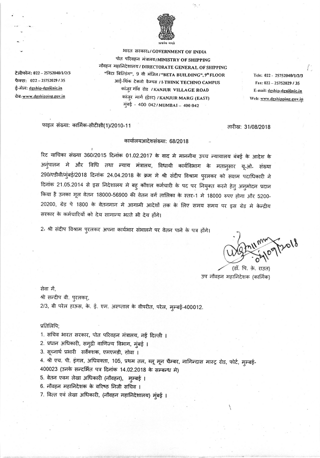

भारत सरकार¤/GOVERNMENT OF INDIA पोत परिवहन मंत्रालय/MINISTRY OF SHIPPING नौवहन महानिदेशालय / DIRECTORATE GENERAL OF SHIPPING "बिटा बिल्डिंग", 9 वी मंजिल/"BETA BUILDING", 9ª FLOOR आई-थिंक टेक्नो कैम्पस / I-THINK TECHNO CAMPUS कांज़ुर गाँव रोड / KANJUR VILLAGE ROAD कांज़र मार्ग (ईस्ट) / KANJUR MARG (EAST) मुंबई - 400 042/MUMBAI - 400 042

Tele: 022 - 25752040/1/2/3 Fax: 022-25752029 / 35 E-mail: dgship-dgs@nic.in Web: www.dgshipping.gov.in

## फाइल संख्या: कार्मिक-सीटीसी(1)/2010-11

## कार्यालयआदेशसंख्या: 68/2018

रिट याचिका संख्या 360/2015 दिनांक 01.02.2017 के वाद मे माननीय उच्च न्यायालय बंबई के आदेश के अनुपालन मे और विधि तथा न्याय मंत्रालय, विधायी कार्यविभाग के मतानुसार यू.ओ. संख्या 290/एडीवी/मुंबई/2018 दिनांक 24.04.2018 के क्रम मे श्री संदीप विश्राम पुरलकर को सक्षम पदाधिकारी ने दिनांक 21.05.2014 से इस निदेशालय मे बहु कौशल कर्मचारी के पद पर नियुक्त करने हेतु अनुमोदन प्रदान किया है उनका मूल वेतन 18000-56900 की वेतन वर्ग तालिका के स्तर-1 मे 18000 रुपए होगा और 5200-20200, ग्रेड पे 1800 के वेतनमान मे आगामी आदेशों तक के लिए समय समय पर इस ग्रेड मे केन्द्रीय सरकार के कर्मचारियों को देय सामान्य भत्ते भी देय होंगे।

2. श्री संदीप विश्राम पुरलकर अपना कार्यभार संभालने पर वेतन पाने के पत्र होंगे।

तारीख: 31/08/2018

(डॉ. पि. क़े. राउत उप नौवहन महानिदेशक (कार्मिक)

सेवा में. श्री सन्दीप वी. पुरलकर्, 2/3, बी परेल हाऊस, के. ई. एम. अरूप्ताल के वीपरीत, परेल, मुम्बई-400012.

प्रतिलिपि:

- 1. सचिव भारत सरकार, पोत परिवहन मंत्रालय, नई दिल्ली ।
- 2. प्रधान अधिकारी, समुद्री वाणिज्य विभाग, मुंबई ।
- 3. सूच्नार्थ प्रभारी सर्वेक्शक, एमएमडी, गोवा ।

4. श्री एच. पी. इंगल, अधिवक्ता, 105, प्रथम तल, ब्लू मून चैम्बर, नागिन्दास मास्ट्र रोड, फोर्ट, मुम्बई-400023 (उनके सन्दर्भित पत्र दिनांक 14.02.2018 के सम्बन्ध मे)

- 5. वेतन एवम लेखा अधिकारी (नौवहन), मुम्बई ।
- 6. नौवहन महानिदेशक के वरिष्ठ निजी सचिव ।
- 7. वित्त एवं लेखा अधिकारी, (नौवहन महानिदेशालय) मुंबई ।

टेलीफोन: 022 - 25752040/1/2/3 फैक्स: 022 - 25752029 / 35 ई-मेल: dgship-dgs@nic.in वेब: www.dgshipping.gov.in